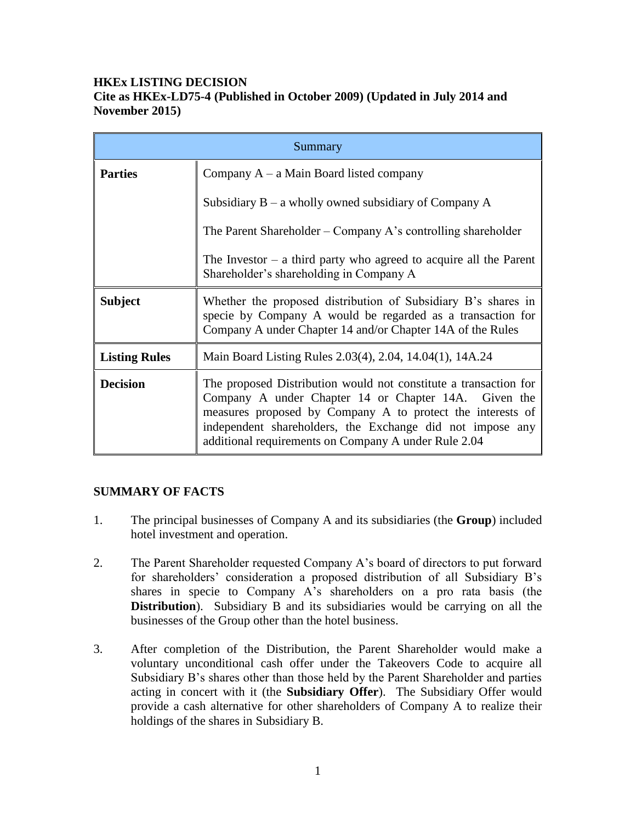## **HKEx LISTING DECISION Cite as HKEx-LD75-4 (Published in October 2009) (Updated in July 2014 and November 2015)**

| Summary              |                                                                                                                                                                                                                                                                                                             |
|----------------------|-------------------------------------------------------------------------------------------------------------------------------------------------------------------------------------------------------------------------------------------------------------------------------------------------------------|
| <b>Parties</b>       | Company $A - a$ Main Board listed company                                                                                                                                                                                                                                                                   |
|                      | Subsidiary $B - a$ wholly owned subsidiary of Company A                                                                                                                                                                                                                                                     |
|                      | The Parent Shareholder – Company A's controlling shareholder                                                                                                                                                                                                                                                |
|                      | The Investor $-$ a third party who agreed to acquire all the Parent<br>Shareholder's shareholding in Company A                                                                                                                                                                                              |
| <b>Subject</b>       | Whether the proposed distribution of Subsidiary B's shares in<br>specie by Company A would be regarded as a transaction for<br>Company A under Chapter 14 and/or Chapter 14A of the Rules                                                                                                                   |
| <b>Listing Rules</b> | Main Board Listing Rules 2.03(4), 2.04, 14.04(1), 14A.24                                                                                                                                                                                                                                                    |
| <b>Decision</b>      | The proposed Distribution would not constitute a transaction for<br>Company A under Chapter 14 or Chapter 14A. Given the<br>measures proposed by Company A to protect the interests of<br>independent shareholders, the Exchange did not impose any<br>additional requirements on Company A under Rule 2.04 |

# **SUMMARY OF FACTS**

- 1. The principal businesses of Company A and its subsidiaries (the **Group**) included hotel investment and operation.
- 2. The Parent Shareholder requested Company A's board of directors to put forward for shareholders' consideration a proposed distribution of all Subsidiary B's shares in specie to Company A's shareholders on a pro rata basis (the **Distribution**). Subsidiary B and its subsidiaries would be carrying on all the businesses of the Group other than the hotel business.
- 3. After completion of the Distribution, the Parent Shareholder would make a voluntary unconditional cash offer under the Takeovers Code to acquire all Subsidiary B's shares other than those held by the Parent Shareholder and parties acting in concert with it (the **Subsidiary Offer**). The Subsidiary Offer would provide a cash alternative for other shareholders of Company A to realize their holdings of the shares in Subsidiary B.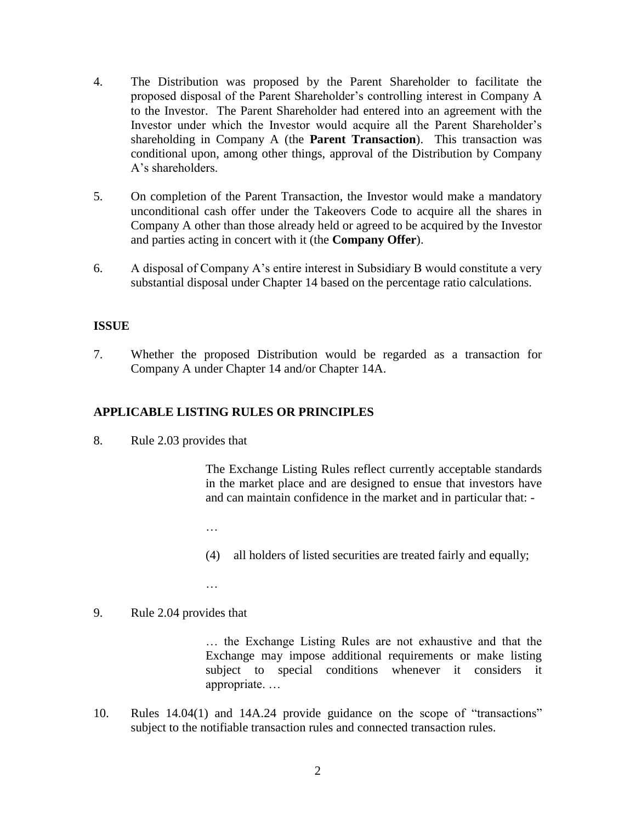- 4. The Distribution was proposed by the Parent Shareholder to facilitate the proposed disposal of the Parent Shareholder's controlling interest in Company A to the Investor. The Parent Shareholder had entered into an agreement with the Investor under which the Investor would acquire all the Parent Shareholder's shareholding in Company A (the **Parent Transaction**). This transaction was conditional upon, among other things, approval of the Distribution by Company A's shareholders.
- 5. On completion of the Parent Transaction, the Investor would make a mandatory unconditional cash offer under the Takeovers Code to acquire all the shares in Company A other than those already held or agreed to be acquired by the Investor and parties acting in concert with it (the **Company Offer**).
- 6. A disposal of Company A's entire interest in Subsidiary B would constitute a very substantial disposal under Chapter 14 based on the percentage ratio calculations.

# **ISSUE**

7. Whether the proposed Distribution would be regarded as a transaction for Company A under Chapter 14 and/or Chapter 14A.

#### **APPLICABLE LISTING RULES OR PRINCIPLES**

8. Rule 2.03 provides that

The Exchange Listing Rules reflect currently acceptable standards in the market place and are designed to ensue that investors have and can maintain confidence in the market and in particular that: -

…

(4) all holders of listed securities are treated fairly and equally;

…

## 9. Rule 2.04 provides that

… the Exchange Listing Rules are not exhaustive and that the Exchange may impose additional requirements or make listing subject to special conditions whenever it considers it appropriate. …

10. Rules 14.04(1) and 14A.24 provide guidance on the scope of "transactions" subject to the notifiable transaction rules and connected transaction rules.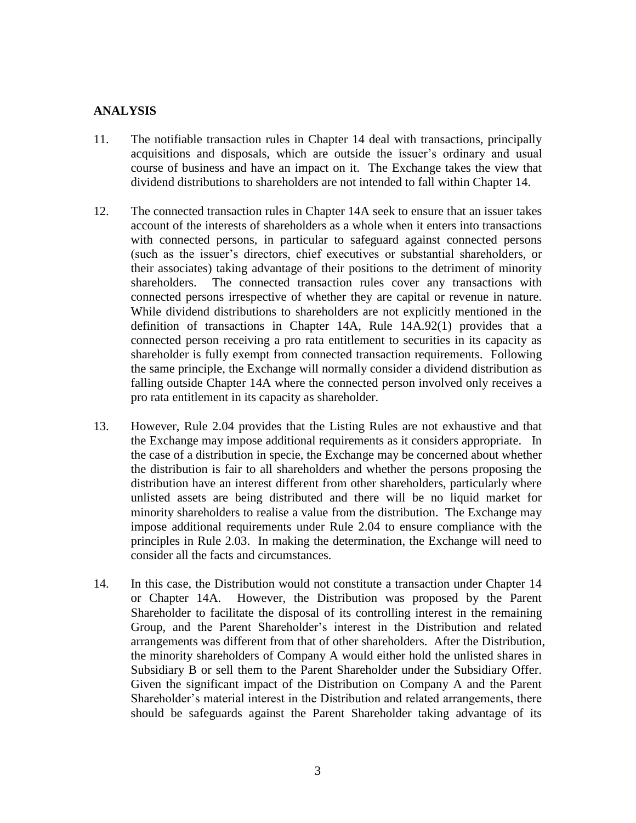#### **ANALYSIS**

- 11. The notifiable transaction rules in Chapter 14 deal with transactions, principally acquisitions and disposals, which are outside the issuer's ordinary and usual course of business and have an impact on it. The Exchange takes the view that dividend distributions to shareholders are not intended to fall within Chapter 14.
- 12. The connected transaction rules in Chapter 14A seek to ensure that an issuer takes account of the interests of shareholders as a whole when it enters into transactions with connected persons, in particular to safeguard against connected persons (such as the issuer's directors, chief executives or substantial shareholders, or their associates) taking advantage of their positions to the detriment of minority shareholders. The connected transaction rules cover any transactions with connected persons irrespective of whether they are capital or revenue in nature. While dividend distributions to shareholders are not explicitly mentioned in the definition of transactions in Chapter 14A, Rule 14A.92(1) provides that a connected person receiving a pro rata entitlement to securities in its capacity as shareholder is fully exempt from connected transaction requirements. Following the same principle, the Exchange will normally consider a dividend distribution as falling outside Chapter 14A where the connected person involved only receives a pro rata entitlement in its capacity as shareholder.
- 13. However, Rule 2.04 provides that the Listing Rules are not exhaustive and that the Exchange may impose additional requirements as it considers appropriate. In the case of a distribution in specie, the Exchange may be concerned about whether the distribution is fair to all shareholders and whether the persons proposing the distribution have an interest different from other shareholders, particularly where unlisted assets are being distributed and there will be no liquid market for minority shareholders to realise a value from the distribution. The Exchange may impose additional requirements under Rule 2.04 to ensure compliance with the principles in Rule 2.03. In making the determination, the Exchange will need to consider all the facts and circumstances.
- 14. In this case, the Distribution would not constitute a transaction under Chapter 14 or Chapter 14A. However, the Distribution was proposed by the Parent Shareholder to facilitate the disposal of its controlling interest in the remaining Group, and the Parent Shareholder's interest in the Distribution and related arrangements was different from that of other shareholders. After the Distribution, the minority shareholders of Company A would either hold the unlisted shares in Subsidiary B or sell them to the Parent Shareholder under the Subsidiary Offer. Given the significant impact of the Distribution on Company A and the Parent Shareholder's material interest in the Distribution and related arrangements, there should be safeguards against the Parent Shareholder taking advantage of its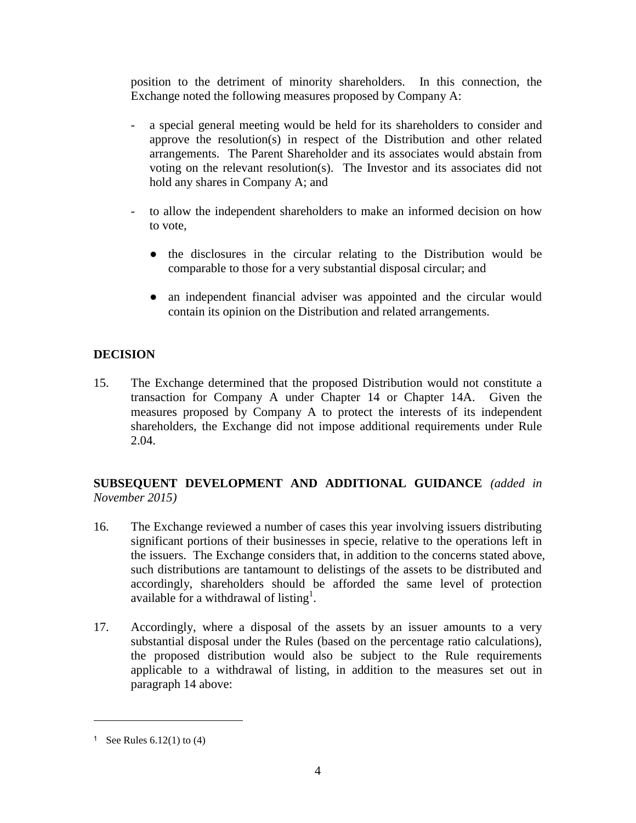position to the detriment of minority shareholders. In this connection, the Exchange noted the following measures proposed by Company A:

- a special general meeting would be held for its shareholders to consider and approve the resolution(s) in respect of the Distribution and other related arrangements. The Parent Shareholder and its associates would abstain from voting on the relevant resolution(s). The Investor and its associates did not hold any shares in Company A; and
- to allow the independent shareholders to make an informed decision on how to vote,
	- the disclosures in the circular relating to the Distribution would be comparable to those for a very substantial disposal circular; and
	- an independent financial adviser was appointed and the circular would contain its opinion on the Distribution and related arrangements.

# **DECISION**

15. The Exchange determined that the proposed Distribution would not constitute a transaction for Company A under Chapter 14 or Chapter 14A. Given the measures proposed by Company A to protect the interests of its independent shareholders, the Exchange did not impose additional requirements under Rule 2.04.

# **SUBSEQUENT DEVELOPMENT AND ADDITIONAL GUIDANCE** *(added in November 2015)*

- 16. The Exchange reviewed a number of cases this year involving issuers distributing significant portions of their businesses in specie, relative to the operations left in the issuers. The Exchange considers that, in addition to the concerns stated above, such distributions are tantamount to delistings of the assets to be distributed and accordingly, shareholders should be afforded the same level of protection available for a withdrawal of listing<sup>1</sup>.
- 17. Accordingly, where a disposal of the assets by an issuer amounts to a very substantial disposal under the Rules (based on the percentage ratio calculations), the proposed distribution would also be subject to the Rule requirements applicable to a withdrawal of listing, in addition to the measures set out in paragraph 14 above:

 $\overline{a}$ 

<sup>1</sup> See Rules 6.12(1) to (4)